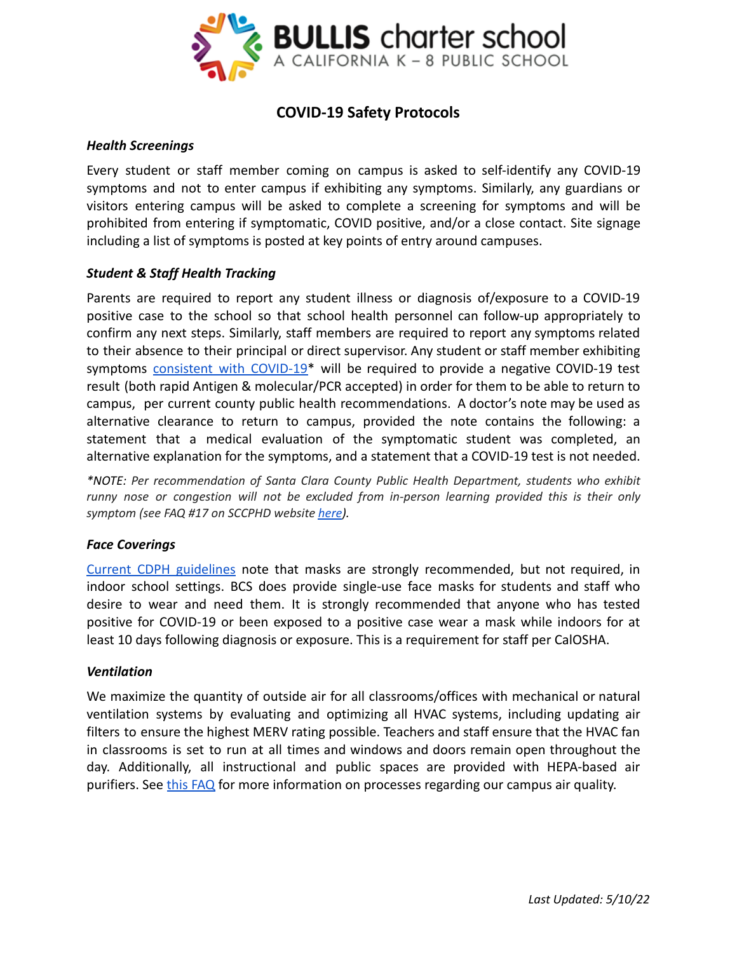

# **COVID-19 Safety Protocols**

## *Health Screenings*

Every student or staff member coming on campus is asked to self-identify any COVID-19 symptoms and not to enter campus if exhibiting any symptoms. Similarly, any guardians or visitors entering campus will be asked to complete a screening for symptoms and will be prohibited from entering if symptomatic, COVID positive, and/or a close contact. Site signage including a list of symptoms is posted at key points of entry around campuses.

## *Student & Staff Health Tracking*

Parents are required to report any student illness or diagnosis of/exposure to a COVID-19 positive case to the school so that school health personnel can follow-up appropriately to confirm any next steps. Similarly, staff members are required to report any symptoms related to their absence to their principal or direct supervisor. Any student or staff member exhibiting symptoms [consistent](https://www.cdc.gov/coronavirus/2019-ncov/symptoms-testing/symptoms.html) with COVID-19<sup>\*</sup> will be required to provide a negative COVID-19 test result (both rapid Antigen & molecular/PCR accepted) in order for them to be able to return to campus, per current county public health recommendations. A doctor's note may be used as alternative clearance to return to campus, provided the note contains the following: a statement that a medical evaluation of the symptomatic student was completed, an alternative explanation for the symptoms, and a statement that a COVID-19 test is not needed.

*\*NOTE: Per recommendation of Santa Clara County Public Health Department, students who exhibit runny nose or congestion will not be excluded from in-person learning provided this is their only symptom (see FAQ #17 on SCCPHD website [here](https://covid19.sccgov.org/school-guidance)).*

## *Face Coverings*

Current CDPH [guidelines](https://www.cdph.ca.gov/Programs/CID/DCDC/Pages/COVID-19/K-12-Guidance-2021-22-School-Year.aspx) note that masks are strongly recommended, but not required, in indoor school settings. BCS does provide single-use face masks for students and staff who desire to wear and need them. It is strongly recommended that anyone who has tested positive for COVID-19 or been exposed to a positive case wear a mask while indoors for at least 10 days following diagnosis or exposure. This is a requirement for staff per CalOSHA.

## *Ventilation*

We maximize the quantity of outside air for all classrooms/offices with mechanical or natural ventilation systems by evaluating and optimizing all HVAC systems, including updating air filters to ensure the highest MERV rating possible. Teachers and staff ensure that the HVAC fan in classrooms is set to run at all times and windows and doors remain open throughout the day. Additionally, all instructional and public spaces are provided with HEPA-based air purifiers. See [this FAQ](http://bullischarterschool.com/wp-content/uploads/2021/08/BCS_AQI_FAQ_21-22.pdf) for more information on processes regarding our campus air quality.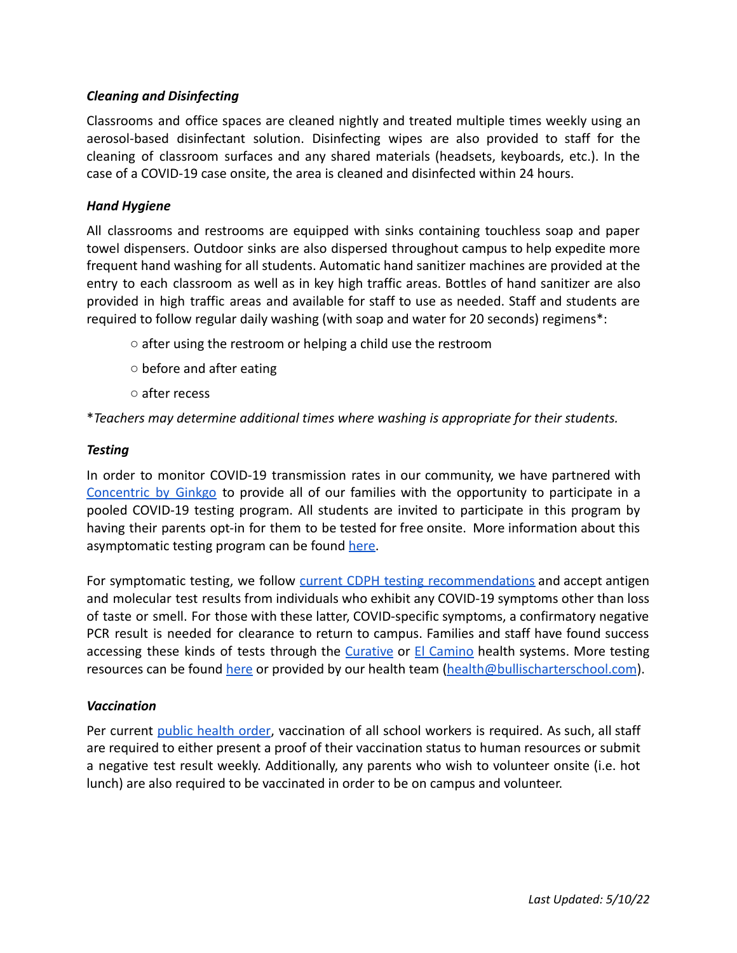## *Cleaning and Disinfecting*

Classrooms and office spaces are cleaned nightly and treated multiple times weekly using an aerosol-based disinfectant solution. Disinfecting wipes are also provided to staff for the cleaning of classroom surfaces and any shared materials (headsets, keyboards, etc.). In the case of a COVID-19 case onsite, the area is cleaned and disinfected within 24 hours.

#### *Hand Hygiene*

All classrooms and restrooms are equipped with sinks containing touchless soap and paper towel dispensers. Outdoor sinks are also dispersed throughout campus to help expedite more frequent hand washing for all students. Automatic hand sanitizer machines are provided at the entry to each classroom as well as in key high traffic areas. Bottles of hand sanitizer are also provided in high traffic areas and available for staff to use as needed. Staff and students are required to follow regular daily washing (with soap and water for 20 seconds) regimens\*:

- after using the restroom or helping a child use the restroom
- before and after eating
- after recess

\**Teachers may determine additional times where washing is appropriate for their students.*

## *Testing*

In order to monitor COVID-19 transmission rates in our community, we have partnered with [Concentric](https://www.concentricbyginkgo.com/) by Ginkgo to provide all of our families with the opportunity to participate in a pooled COVID-19 testing program. All students are invited to participate in this program by having their parents opt-in for them to be tested for free onsite. More information about this asymptomatic testing program can be found [here.](http://bullischarterschool.com/wp-content/uploads/2021/09/BCS-Pooled-Testing-FAQ.pdf)

For symptomatic testing, we follow current CDPH testing [recommendations](https://www.cdph.ca.gov/Programs/CID/DCDC/Pages/COVID-19/Updated-COVID-19-Testing-Guidance.aspx) and accept antigen and molecular test results from individuals who exhibit any COVID-19 symptoms other than loss of taste or smell. For those with these latter, COVID-specific symptoms, a confirmatory negative PCR result is needed for clearance to return to campus. Families and staff have found success accessing these kinds of tests through the [Curative](https://curative.com/) or El [Camino](https://www.elcaminohealth.org/landing/schedule-covid-19-test) health systems. More testing resources can be found [here](https://www.sccgov.org/sites/covid19/Pages/covid19-testing.aspx) or provided by our health team [\(health@bullischarterschool.com](mailto:health@bullischarterschool.com)).

## *Vaccination*

Per current public [health](https://www.cdph.ca.gov/Programs/CID/DCDC/Pages/COVID-19/Order-of-the-State-Public-Health-Officer-Vaccine-Verification-for-Workers-in-Schools.aspx) order, vaccination of all school workers is required. As such, all staff are required to either present a proof of their vaccination status to human resources or submit a negative test result weekly. Additionally, any parents who wish to volunteer onsite (i.e. hot lunch) are also required to be vaccinated in order to be on campus and volunteer.